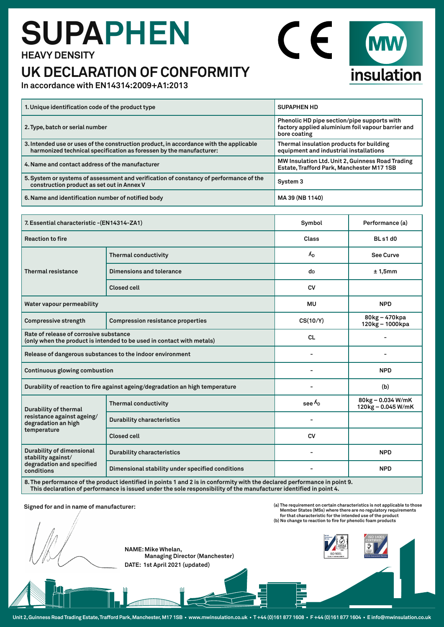## **SUPAPHEN HEAVY DENSITY**

### **UK DECLARATION OF CONFORMITY**



**In accordance with EN14314:2009+A1:2013**

| 1. Unique identification code of the product type                                                                                                             | <b>SUPAPHEN HD</b>                                                                                               |  |
|---------------------------------------------------------------------------------------------------------------------------------------------------------------|------------------------------------------------------------------------------------------------------------------|--|
| 2. Type, batch or serial number                                                                                                                               | Phenolic HD pipe section/pipe supports with<br>factory applied aluminium foil vapour barrier and<br>bore coating |  |
| 3. Intended use or uses of the construction product, in accordance with the applicable<br>harmonized technical specification as foressen by the manufacturer: | Thermal insulation products for building<br>equipment and industrial installations                               |  |
| 4. Name and contact address of the manufacturer                                                                                                               | MW Insulation Ltd. Unit 2, Guinness Road Trading<br>Estate, Trafford Park, Manchester M17 1SB                    |  |
| 5. System or systems of assessment and verification of constancy of performance of the<br>construction product as set out in Annex V                          | System 3                                                                                                         |  |
| 6. Name and identification number of notified body                                                                                                            | MA 39 (NB 1140)                                                                                                  |  |

| 7. Essential characteristic - (EN14314-ZA1)                                                                               |                                                  | Symbol            | Performance (a)                         |
|---------------------------------------------------------------------------------------------------------------------------|--------------------------------------------------|-------------------|-----------------------------------------|
| <b>Reaction to fire</b>                                                                                                   |                                                  | Class             | BLs1d0                                  |
| <b>Thermal resistance</b>                                                                                                 | <b>Thermal conductivity</b>                      | $\Lambda_{\rm D}$ | See Curve                               |
|                                                                                                                           | Dimensions and tolerance                         | dD                | ± 1,5mm                                 |
|                                                                                                                           | <b>Closed cell</b>                               | <b>CV</b>         |                                         |
| Water vapour permeability                                                                                                 |                                                  | <b>MU</b>         | <b>NPD</b>                              |
| <b>Compressive strength</b>                                                                                               | <b>Compression resistance properties</b>         | CS(10/Y)          | 80kg - 470kpa<br>120kg - 1000kpa        |
| Rate of release of corrosive substance<br>(only when the product is intended to be used in contact with metals)           |                                                  | <b>CL</b>         |                                         |
| Release of dangerous substances to the indoor environment                                                                 |                                                  |                   |                                         |
| Continuous glowing combustion                                                                                             |                                                  |                   | <b>NPD</b>                              |
| Durability of reaction to fire against ageing/degradation an high temperature                                             |                                                  |                   | (b)                                     |
| <b>Durability of thermal</b><br>resistance against ageing/<br>degradation an high<br>temperature                          | <b>Thermal conductivity</b>                      | see $\Lambda_{D}$ | 80kg - 0.034 W/mK<br>120kg - 0.045 W/mK |
|                                                                                                                           | <b>Durability characteristics</b>                |                   |                                         |
|                                                                                                                           | <b>Closed cell</b>                               | <b>CV</b>         |                                         |
| Durability of dimensional<br>stability against/<br>degradation and specified<br>conditions                                | <b>Durability characteristics</b>                |                   | <b>NPD</b>                              |
|                                                                                                                           | Dimensional stability under specified conditions |                   | <b>NPD</b>                              |
| 9. The nextermanes of the product identified in points 1 and 2 is in confermity with the deelared performance in point 0. |                                                  |                   |                                         |

**8. The performance of the product identified in points 1 and 2 is in conformity with the declared performance in point 9. This declaration of performance is issued under the sole responsibility of the manufacturer identified in point 4.** 

### **Signed for and in name of manufacturer:**

**NAME: Mike Whelan, Managing Director (Manchester) DATE: 1st April 2021 (updated)**







**Unit 2, Guinness Road Trading Estate, Trafford Park, Manchester, M17 1SB • www.mwinsulation.co.uk • T +44 (0)161 877 1608 • F +44 (0)161 877 1604 • E info@mwinsulation.co.uk**